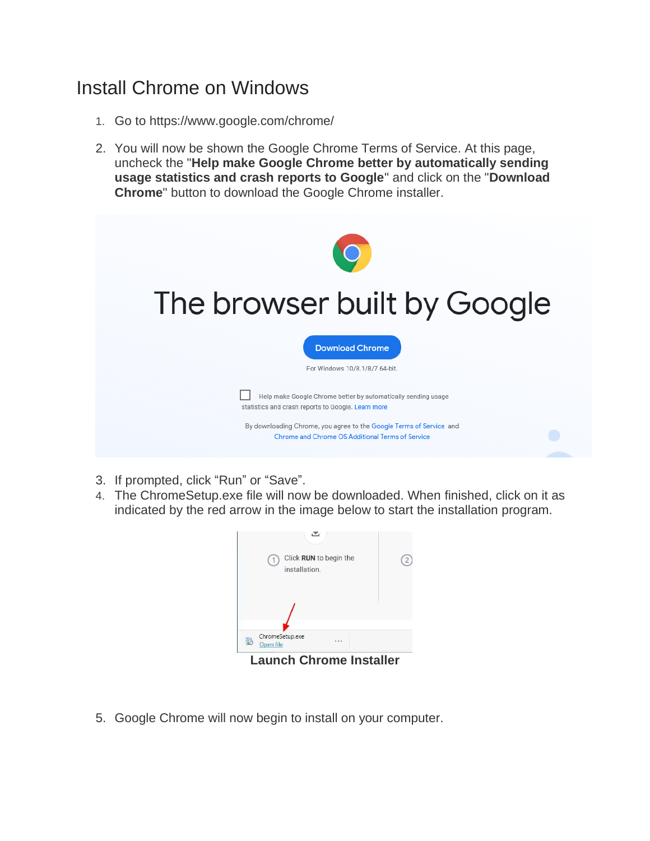## Install Chrome on Windows

- 1. Go to<https://www.google.com/chrome/>
- 2. You will now be shown the Google Chrome Terms of Service. At this page, uncheck the "**Help make Google Chrome better by automatically sending usage statistics and crash reports to Google**" and click on the "**Download Chrome**" button to download the Google Chrome installer.



- 3. If prompted, click "Run" or "Save".
- 4. The ChromeSetup.exe file will now be downloaded. When finished, click on it as indicated by the red arrow in the image below to start the installation program.



5. Google Chrome will now begin to install on your computer.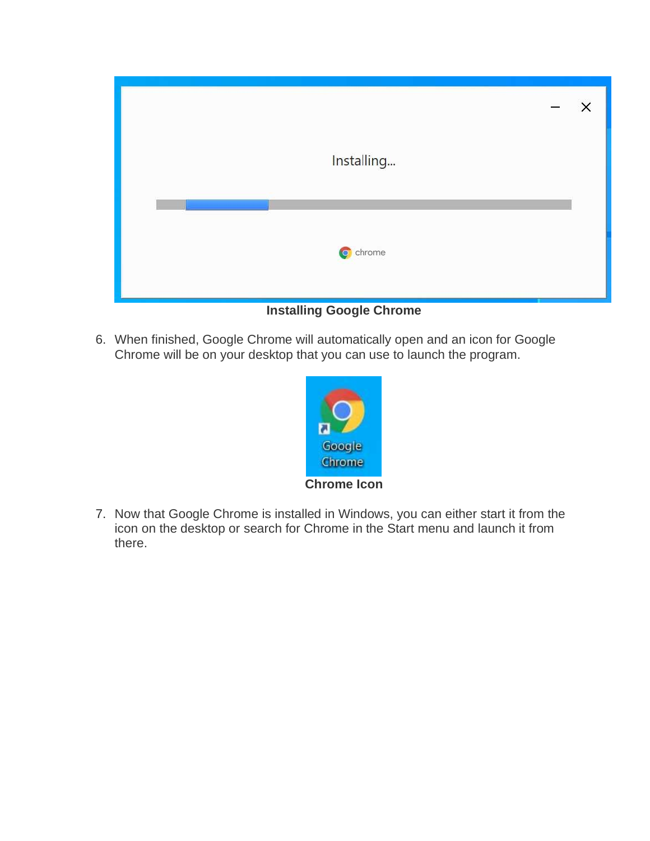|            | $\qquad \qquad$ | $\times$ |
|------------|-----------------|----------|
| Installing |                 |          |
|            |                 |          |
| C chrome   |                 |          |

**Installing Google Chrome**

6. When finished, Google Chrome will automatically open and an icon for Google Chrome will be on your desktop that you can use to launch the program.



7. Now that Google Chrome is installed in Windows, you can either start it from the icon on the desktop or search for Chrome in the Start menu and launch it from there.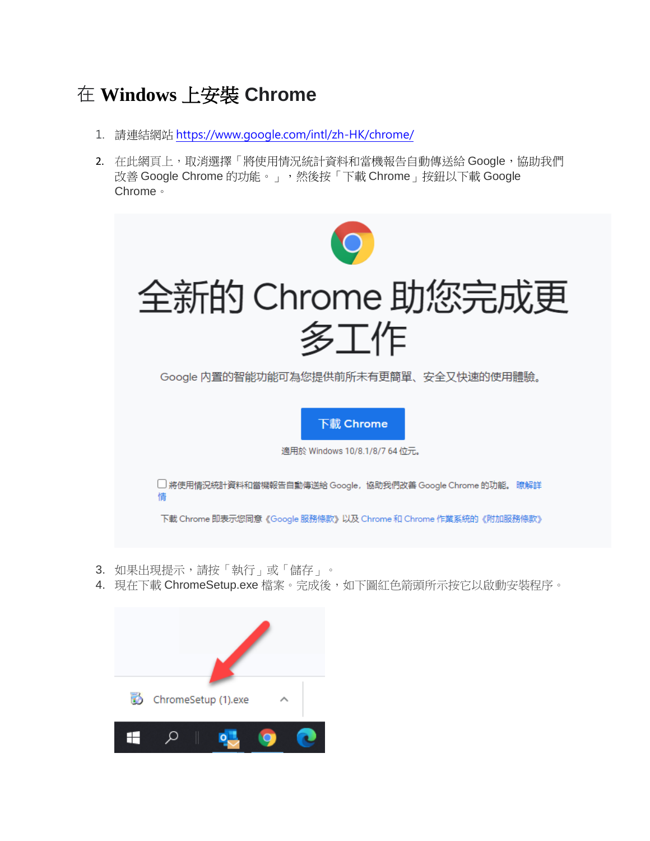## 在 **Windows** 上安裝 **Chrome**

- 1. 請連結網站 <https://www.google.com/intl/zh-HK/chrome/>
- 2. 在此網頁上,取消選擇「將使用情況統計資料和當機報告自動傳送給 Google,協助我們 改善 Google Chrome 的功能。」,然後按「下載 Chrome」按鈕以下載 Google Chrome。



- 3. 如果出現提示,請按「執行」或「儲存」。
- 4. 現在下載 ChromeSetup.exe 檔案。完成後,如下圖紅色箭頭所示按它以啟動安裝程序。